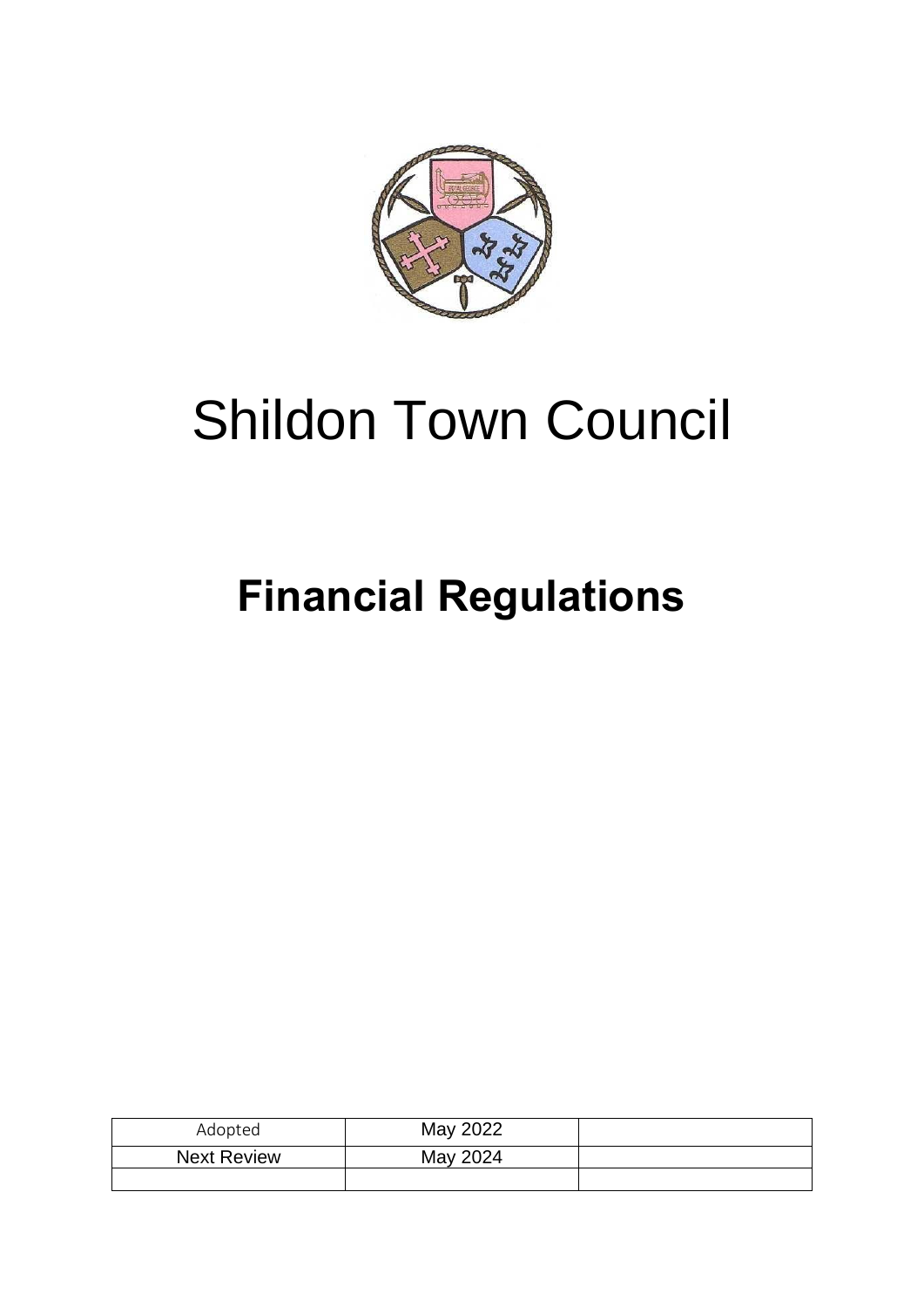

# Shildon Town Council

## **Financial Regulations**

| Adopted            | May 2022 |  |
|--------------------|----------|--|
| <b>Next Review</b> | May 2024 |  |
|                    |          |  |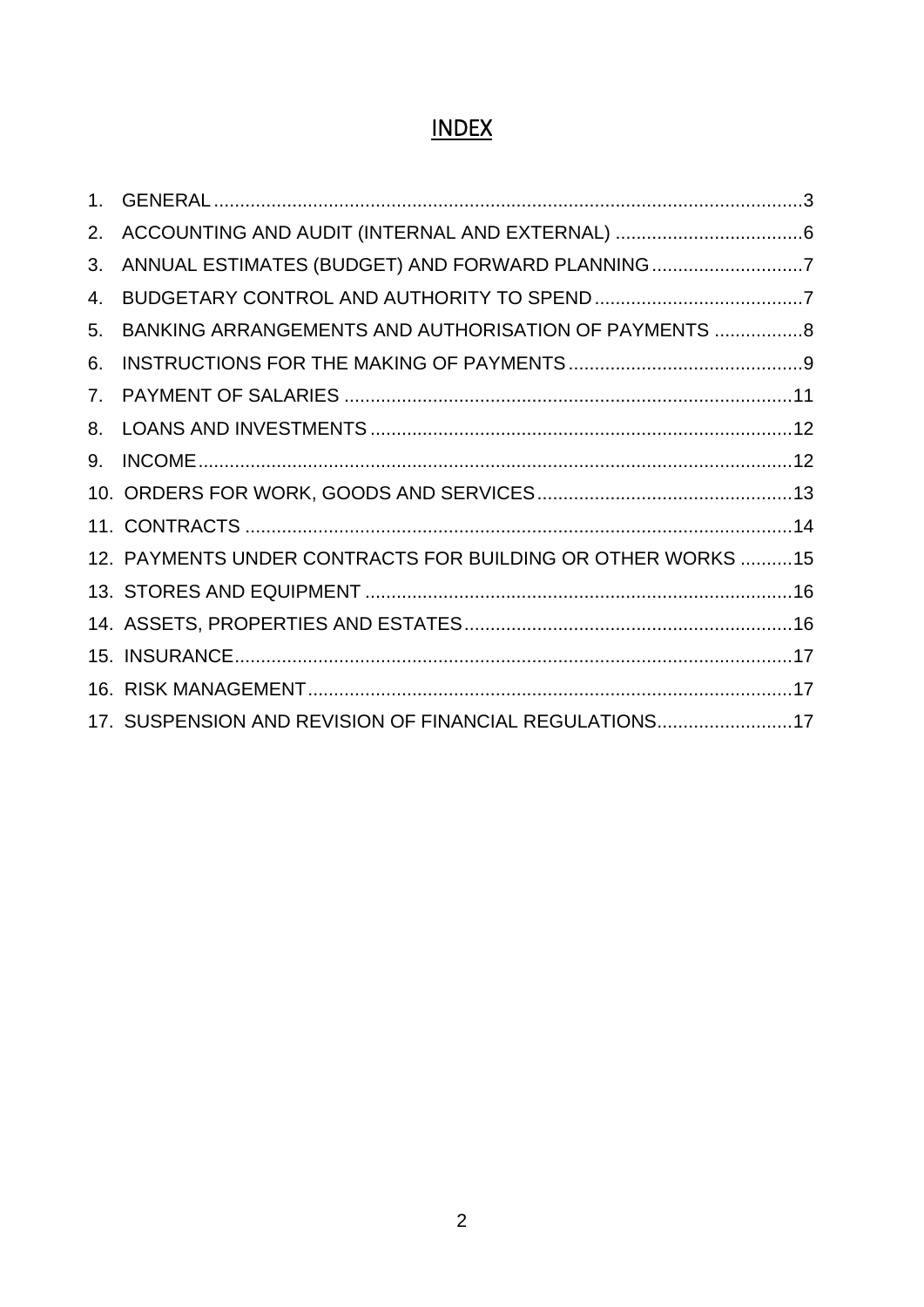### INDEX

| 2.             |                                                              |  |
|----------------|--------------------------------------------------------------|--|
| 3.             |                                                              |  |
| 4.             |                                                              |  |
| 5.             | BANKING ARRANGEMENTS AND AUTHORISATION OF PAYMENTS  8        |  |
| 6.             |                                                              |  |
| 7 <sub>1</sub> |                                                              |  |
|                |                                                              |  |
| 9.             |                                                              |  |
|                |                                                              |  |
|                |                                                              |  |
|                | 12. PAYMENTS UNDER CONTRACTS FOR BUILDING OR OTHER WORKS  15 |  |
|                |                                                              |  |
|                |                                                              |  |
|                |                                                              |  |
|                |                                                              |  |
|                | 17. SUSPENSION AND REVISION OF FINANCIAL REGULATIONS17       |  |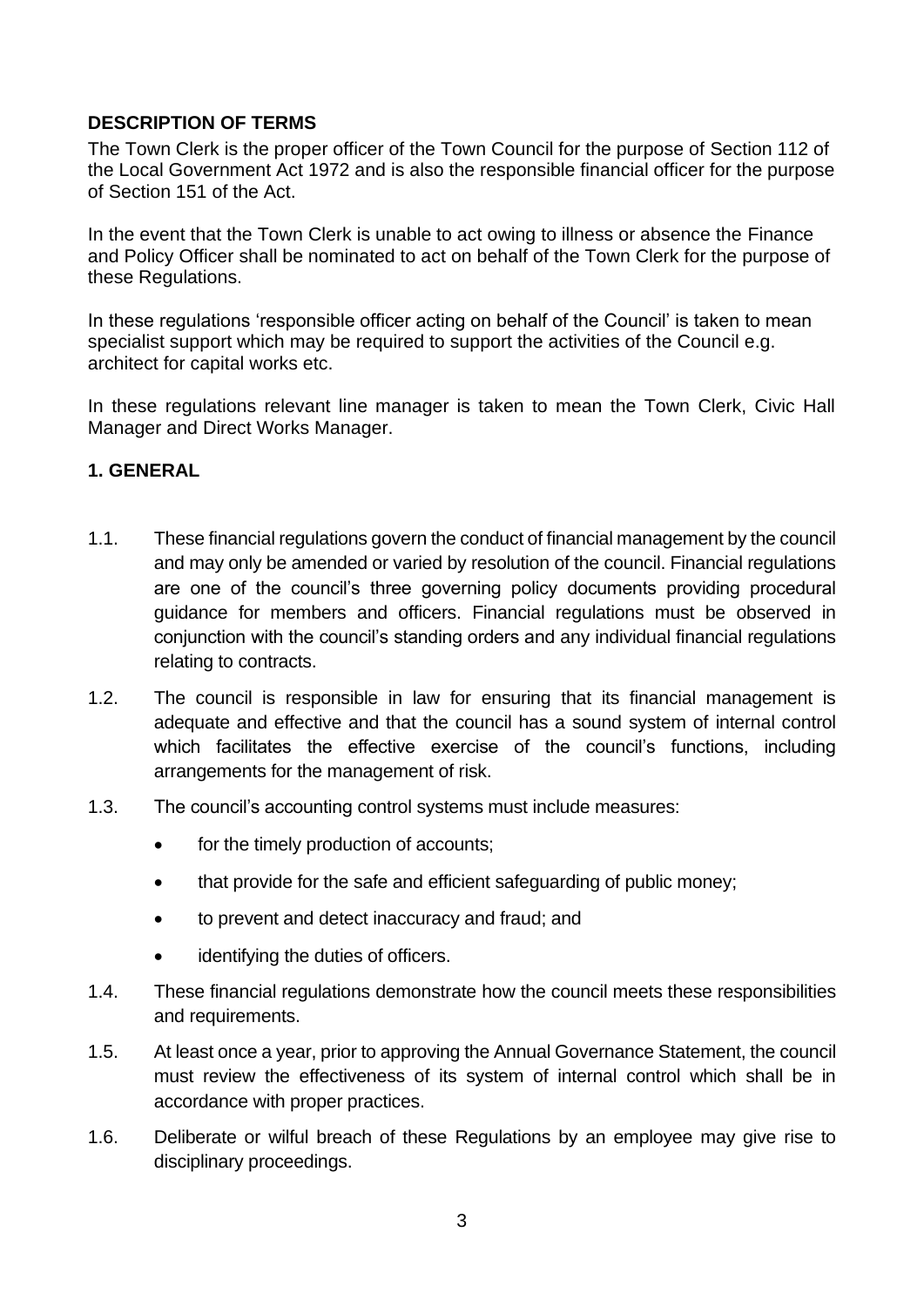#### **DESCRIPTION OF TERMS**

The Town Clerk is the proper officer of the Town Council for the purpose of Section 112 of the Local Government Act 1972 and is also the responsible financial officer for the purpose of Section 151 of the Act.

In the event that the Town Clerk is unable to act owing to illness or absence the Finance and Policy Officer shall be nominated to act on behalf of the Town Clerk for the purpose of these Regulations.

In these regulations 'responsible officer acting on behalf of the Council' is taken to mean specialist support which may be required to support the activities of the Council e.g. architect for capital works etc.

In these regulations relevant line manager is taken to mean the Town Clerk, Civic Hall Manager and Direct Works Manager.

#### <span id="page-2-0"></span>**1. GENERAL**

- 1.1. These financial regulations govern the conduct of financial management by the council and may only be amended or varied by resolution of the council. Financial regulations are one of the council's three governing policy documents providing procedural guidance for members and officers. Financial regulations must be observed in conjunction with the council's standing orders and any individual financial regulations relating to contracts.
- 1.2. The council is responsible in law for ensuring that its financial management is adequate and effective and that the council has a sound system of internal control which facilitates the effective exercise of the council's functions, including arrangements for the management of risk.
- 1.3. The council's accounting control systems must include measures:
	- for the timely production of accounts:
	- that provide for the safe and efficient safeguarding of public money;
	- to prevent and detect inaccuracy and fraud; and
	- identifying the duties of officers.
- 1.4. These financial regulations demonstrate how the council meets these responsibilities and requirements.
- 1.5. At least once a year, prior to approving the Annual Governance Statement, the council must review the effectiveness of its system of internal control which shall be in accordance with proper practices.
- 1.6. Deliberate or wilful breach of these Regulations by an employee may give rise to disciplinary proceedings.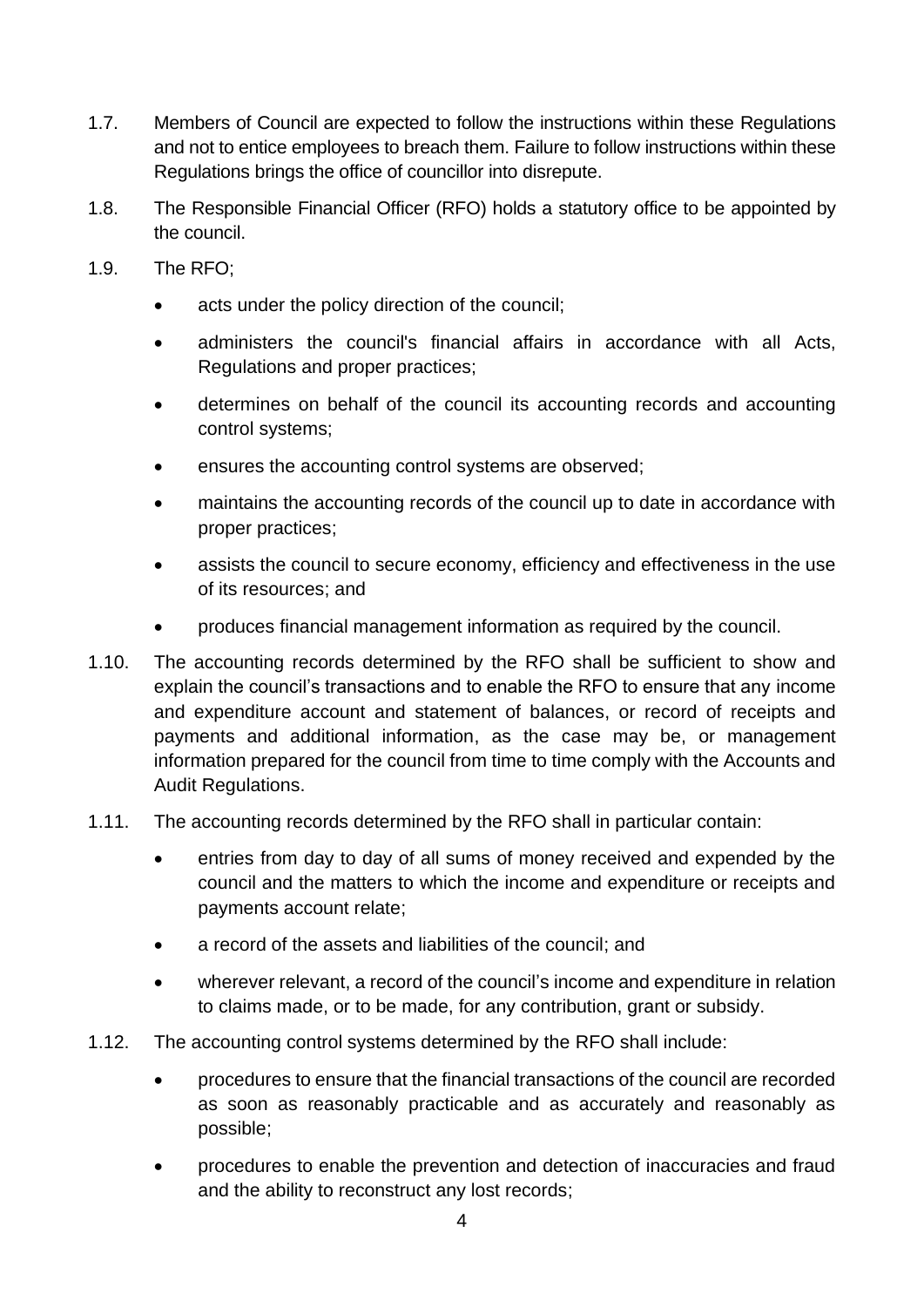- 1.7. Members of Council are expected to follow the instructions within these Regulations and not to entice employees to breach them. Failure to follow instructions within these Regulations brings the office of councillor into disrepute.
- 1.8. The Responsible Financial Officer (RFO) holds a statutory office to be appointed by the council.
- 1.9. The RFO;
	- acts under the policy direction of the council;
	- administers the council's financial affairs in accordance with all Acts, Regulations and proper practices;
	- determines on behalf of the council its accounting records and accounting control systems;
	- ensures the accounting control systems are observed;
	- maintains the accounting records of the council up to date in accordance with proper practices;
	- assists the council to secure economy, efficiency and effectiveness in the use of its resources; and
	- produces financial management information as required by the council.
- 1.10. The accounting records determined by the RFO shall be sufficient to show and explain the council's transactions and to enable the RFO to ensure that any income and expenditure account and statement of balances, or record of receipts and payments and additional information, as the case may be, or management information prepared for the council from time to time comply with the Accounts and Audit Regulations.
- 1.11. The accounting records determined by the RFO shall in particular contain:
	- entries from day to day of all sums of money received and expended by the council and the matters to which the income and expenditure or receipts and payments account relate;
	- a record of the assets and liabilities of the council; and
	- wherever relevant, a record of the council's income and expenditure in relation to claims made, or to be made, for any contribution, grant or subsidy.
- 1.12. The accounting control systems determined by the RFO shall include:
	- procedures to ensure that the financial transactions of the council are recorded as soon as reasonably practicable and as accurately and reasonably as possible;
	- procedures to enable the prevention and detection of inaccuracies and fraud and the ability to reconstruct any lost records;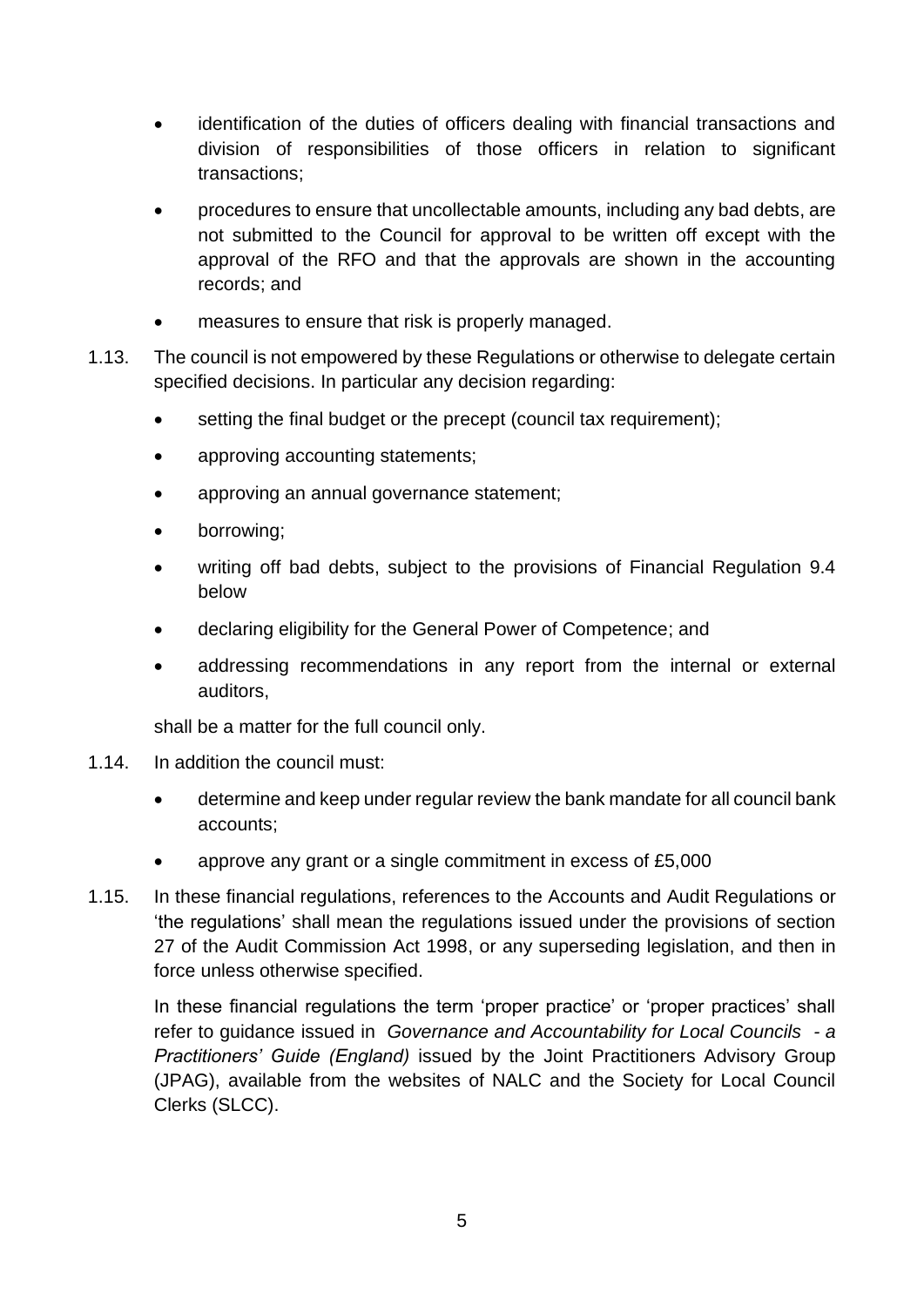- identification of the duties of officers dealing with financial transactions and division of responsibilities of those officers in relation to significant transactions;
- procedures to ensure that uncollectable amounts, including any bad debts, are not submitted to the Council for approval to be written off except with the approval of the RFO and that the approvals are shown in the accounting records; and
- measures to ensure that risk is properly managed.
- 1.13. The council is not empowered by these Regulations or otherwise to delegate certain specified decisions. In particular any decision regarding:
	- setting the final budget or the precept (council tax requirement);
	- approving accounting statements;
	- approving an annual governance statement;
	- borrowing;
	- writing off bad debts, subject to the provisions of Financial Regulation 9.4 below
	- declaring eligibility for the General Power of Competence; and
	- addressing recommendations in any report from the internal or external auditors,

shall be a matter for the full council only.

- 1.14. In addition the council must:
	- determine and keep under regular review the bank mandate for all council bank accounts;
	- approve any grant or a single commitment in excess of £5,000
- 1.15. In these financial regulations, references to the Accounts and Audit Regulations or 'the regulations' shall mean the regulations issued under the provisions of section 27 of the Audit Commission Act 1998, or any superseding legislation, and then in force unless otherwise specified.

In these financial regulations the term 'proper practice' or 'proper practices' shall refer to guidance issued in *Governance and Accountability for Local Councils - a Practitioners' Guide (England)* issued by the Joint Practitioners Advisory Group (JPAG), available from the websites of NALC and the Society for Local Council Clerks (SLCC).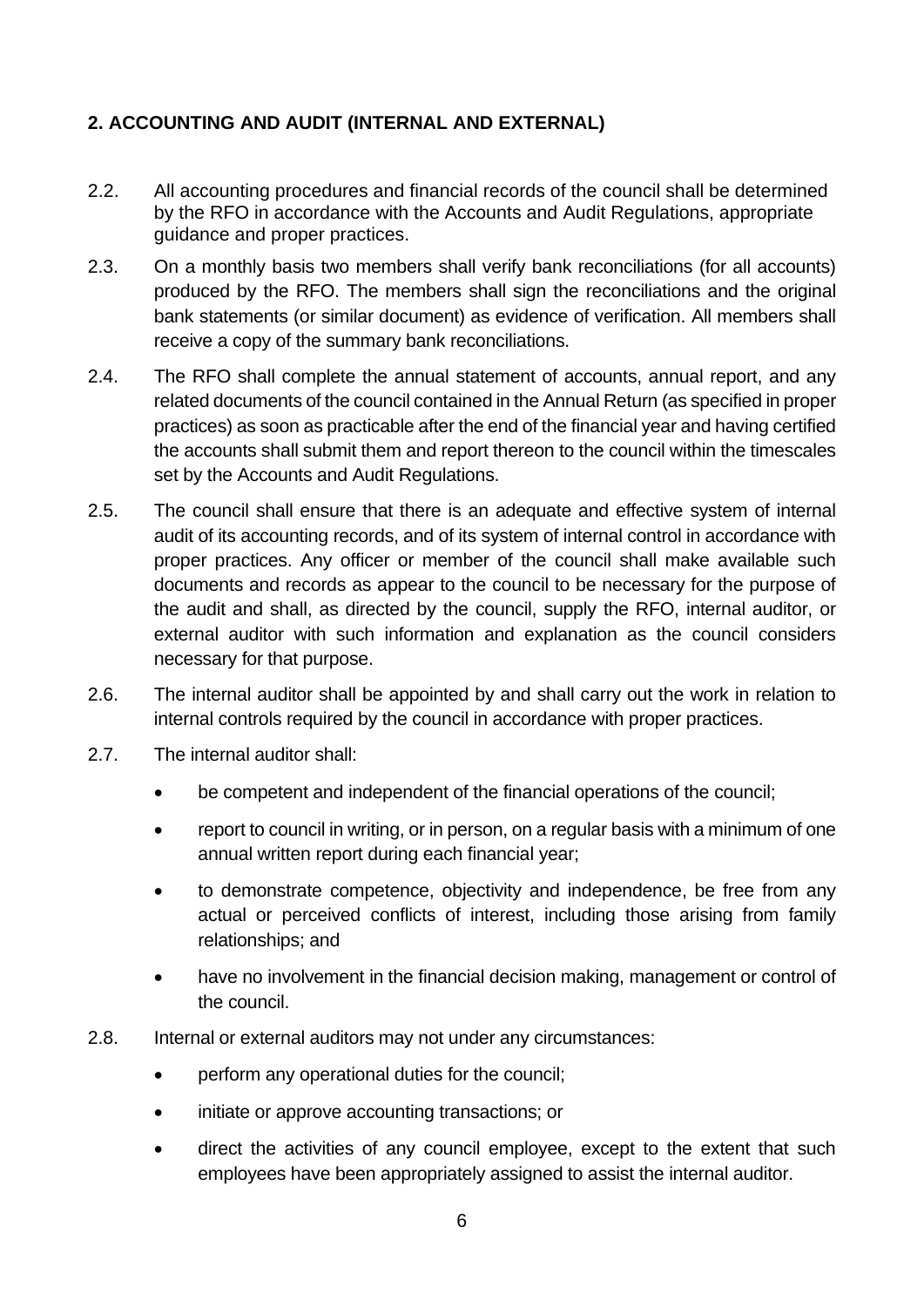#### <span id="page-5-0"></span>**2. ACCOUNTING AND AUDIT (INTERNAL AND EXTERNAL)**

- 2.2. All accounting procedures and financial records of the council shall be determined by the RFO in accordance with the Accounts and Audit Regulations, appropriate guidance and proper practices.
- 2.3. On a monthly basis two members shall verify bank reconciliations (for all accounts) produced by the RFO. The members shall sign the reconciliations and the original bank statements (or similar document) as evidence of verification. All members shall receive a copy of the summary bank reconciliations.
- 2.4. The RFO shall complete the annual statement of accounts, annual report, and any related documents of the council contained in the Annual Return (as specified in proper practices) as soon as practicable after the end of the financial year and having certified the accounts shall submit them and report thereon to the council within the timescales set by the Accounts and Audit Regulations.
- 2.5. The council shall ensure that there is an adequate and effective system of internal audit of its accounting records, and of its system of internal control in accordance with proper practices. Any officer or member of the council shall make available such documents and records as appear to the council to be necessary for the purpose of the audit and shall, as directed by the council, supply the RFO, internal auditor, or external auditor with such information and explanation as the council considers necessary for that purpose.
- 2.6. The internal auditor shall be appointed by and shall carry out the work in relation to internal controls required by the council in accordance with proper practices.
- 2.7. The internal auditor shall:
	- be competent and independent of the financial operations of the council;
	- report to council in writing, or in person, on a regular basis with a minimum of one annual written report during each financial year;
	- to demonstrate competence, objectivity and independence, be free from any actual or perceived conflicts of interest, including those arising from family relationships; and
	- have no involvement in the financial decision making, management or control of the council.
- 2.8. Internal or external auditors may not under any circumstances:
	- perform any operational duties for the council;
	- initiate or approve accounting transactions; or
	- direct the activities of any council employee, except to the extent that such employees have been appropriately assigned to assist the internal auditor.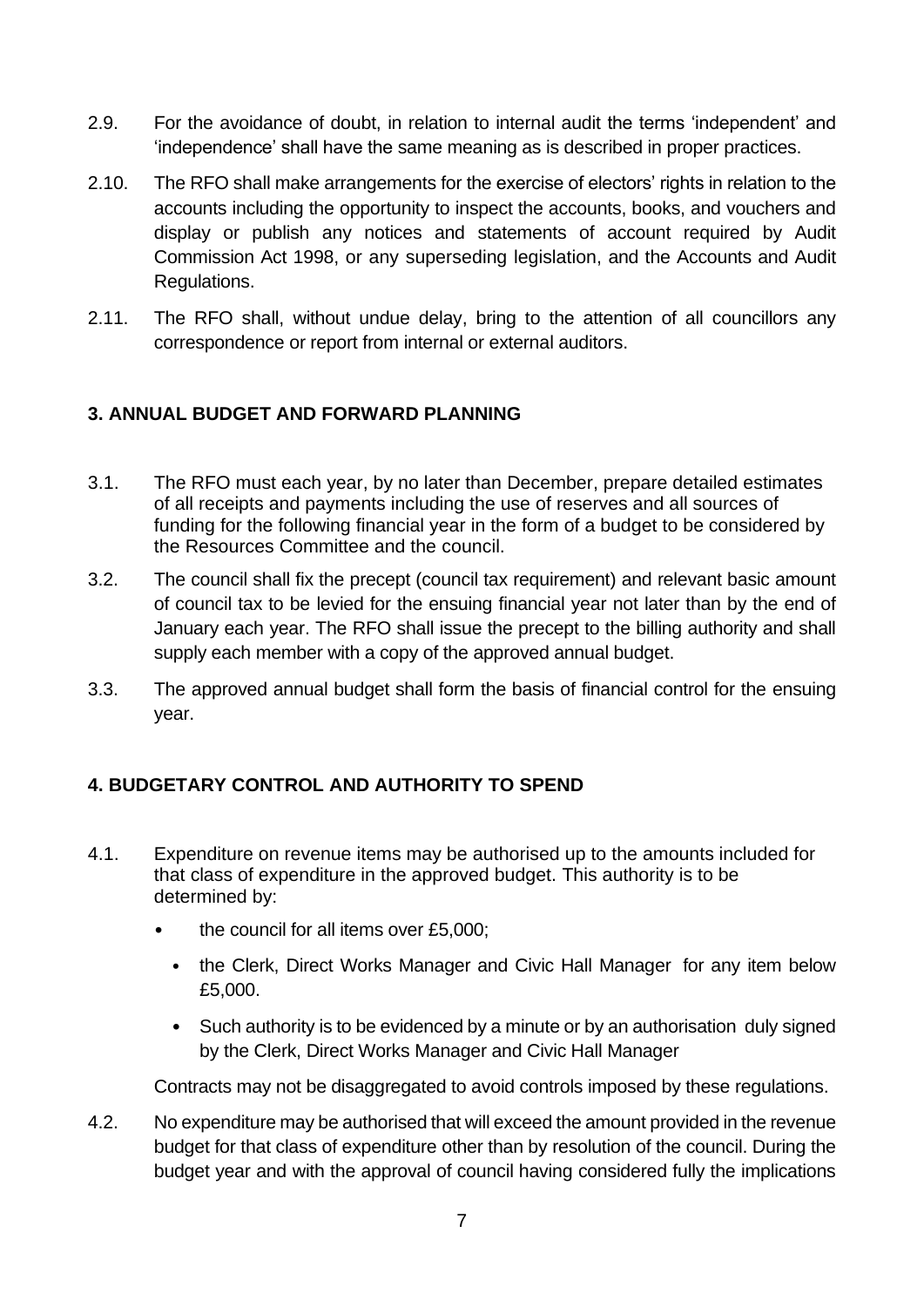- 2.9. For the avoidance of doubt, in relation to internal audit the terms 'independent' and 'independence' shall have the same meaning as is described in proper practices.
- 2.10. The RFO shall make arrangements for the exercise of electors' rights in relation to the accounts including the opportunity to inspect the accounts, books, and vouchers and display or publish any notices and statements of account required by Audit Commission Act 1998, or any superseding legislation, and the Accounts and Audit Regulations.
- 2.11. The RFO shall, without undue delay, bring to the attention of all councillors any correspondence or report from internal or external auditors.

#### <span id="page-6-0"></span>**3. ANNUAL BUDGET AND FORWARD PLANNING**

- 3.1. The RFO must each year, by no later than December, prepare detailed estimates of all receipts and payments including the use of reserves and all sources of funding for the following financial year in the form of a budget to be considered by the Resources Committee and the council.
- 3.2. The council shall fix the precept (council tax requirement) and relevant basic amount of council tax to be levied for the ensuing financial year not later than by the end of January each year. The RFO shall issue the precept to the billing authority and shall supply each member with a copy of the approved annual budget.
- 3.3. The approved annual budget shall form the basis of financial control for the ensuing year.

#### <span id="page-6-1"></span>**4. BUDGETARY CONTROL AND AUTHORITY TO SPEND**

- 4.1. Expenditure on revenue items may be authorised up to the amounts included for that class of expenditure in the approved budget. This authority is to be determined by:
	- the council for all items over £5,000;
		- the Clerk, Direct Works Manager and Civic Hall Manager for any item below £5,000.
		- Such authority is to be evidenced by a minute or by an authorisation duly signed by the Clerk, Direct Works Manager and Civic Hall Manager

Contracts may not be disaggregated to avoid controls imposed by these regulations.

4.2. No expenditure may be authorised that will exceed the amount provided in the revenue budget for that class of expenditure other than by resolution of the council. During the budget year and with the approval of council having considered fully the implications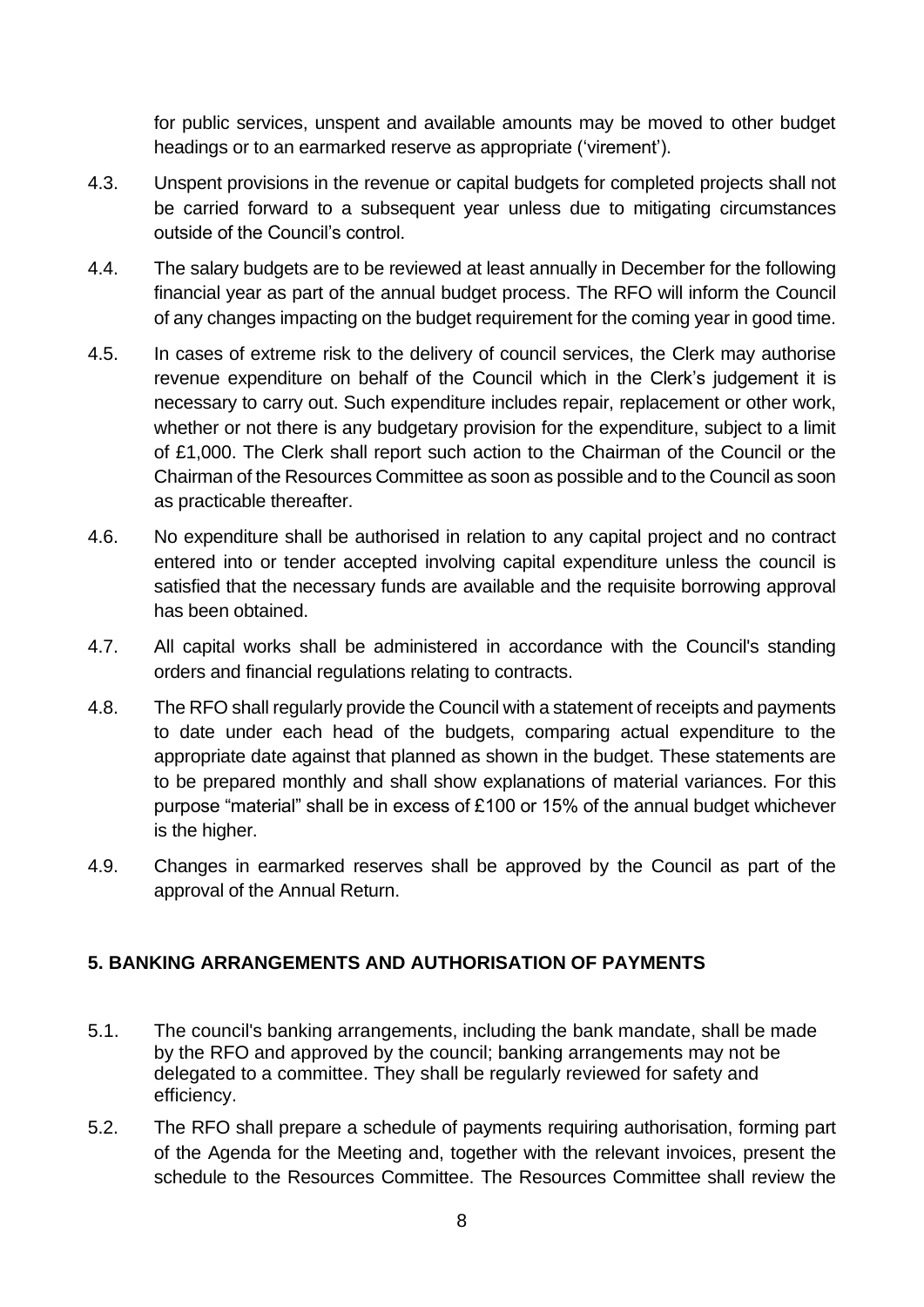for public services, unspent and available amounts may be moved to other budget headings or to an earmarked reserve as appropriate ('virement').

- 4.3. Unspent provisions in the revenue or capital budgets for completed projects shall not be carried forward to a subsequent year unless due to mitigating circumstances outside of the Council's control.
- 4.4. The salary budgets are to be reviewed at least annually in December for the following financial year as part of the annual budget process. The RFO will inform the Council of any changes impacting on the budget requirement for the coming year in good time.
- 4.5. In cases of extreme risk to the delivery of council services, the Clerk may authorise revenue expenditure on behalf of the Council which in the Clerk's judgement it is necessary to carry out. Such expenditure includes repair, replacement or other work, whether or not there is any budgetary provision for the expenditure, subject to a limit of £1,000. The Clerk shall report such action to the Chairman of the Council or the Chairman of the Resources Committee as soon as possible and to the Council as soon as practicable thereafter.
- 4.6. No expenditure shall be authorised in relation to any capital project and no contract entered into or tender accepted involving capital expenditure unless the council is satisfied that the necessary funds are available and the requisite borrowing approval has been obtained.
- 4.7. All capital works shall be administered in accordance with the Council's standing orders and financial regulations relating to contracts.
- 4.8. The RFO shall regularly provide the Council with a statement of receipts and payments to date under each head of the budgets, comparing actual expenditure to the appropriate date against that planned as shown in the budget. These statements are to be prepared monthly and shall show explanations of material variances. For this purpose "material" shall be in excess of £100 or 15% of the annual budget whichever is the higher.
- 4.9. Changes in earmarked reserves shall be approved by the Council as part of the approval of the Annual Return.

#### <span id="page-7-0"></span>**5. BANKING ARRANGEMENTS AND AUTHORISATION OF PAYMENTS**

- 5.1. The council's banking arrangements, including the bank mandate, shall be made by the RFO and approved by the council; banking arrangements may not be delegated to a committee. They shall be regularly reviewed for safety and efficiency.
- 5.2. The RFO shall prepare a schedule of payments requiring authorisation, forming part of the Agenda for the Meeting and, together with the relevant invoices, present the schedule to the Resources Committee. The Resources Committee shall review the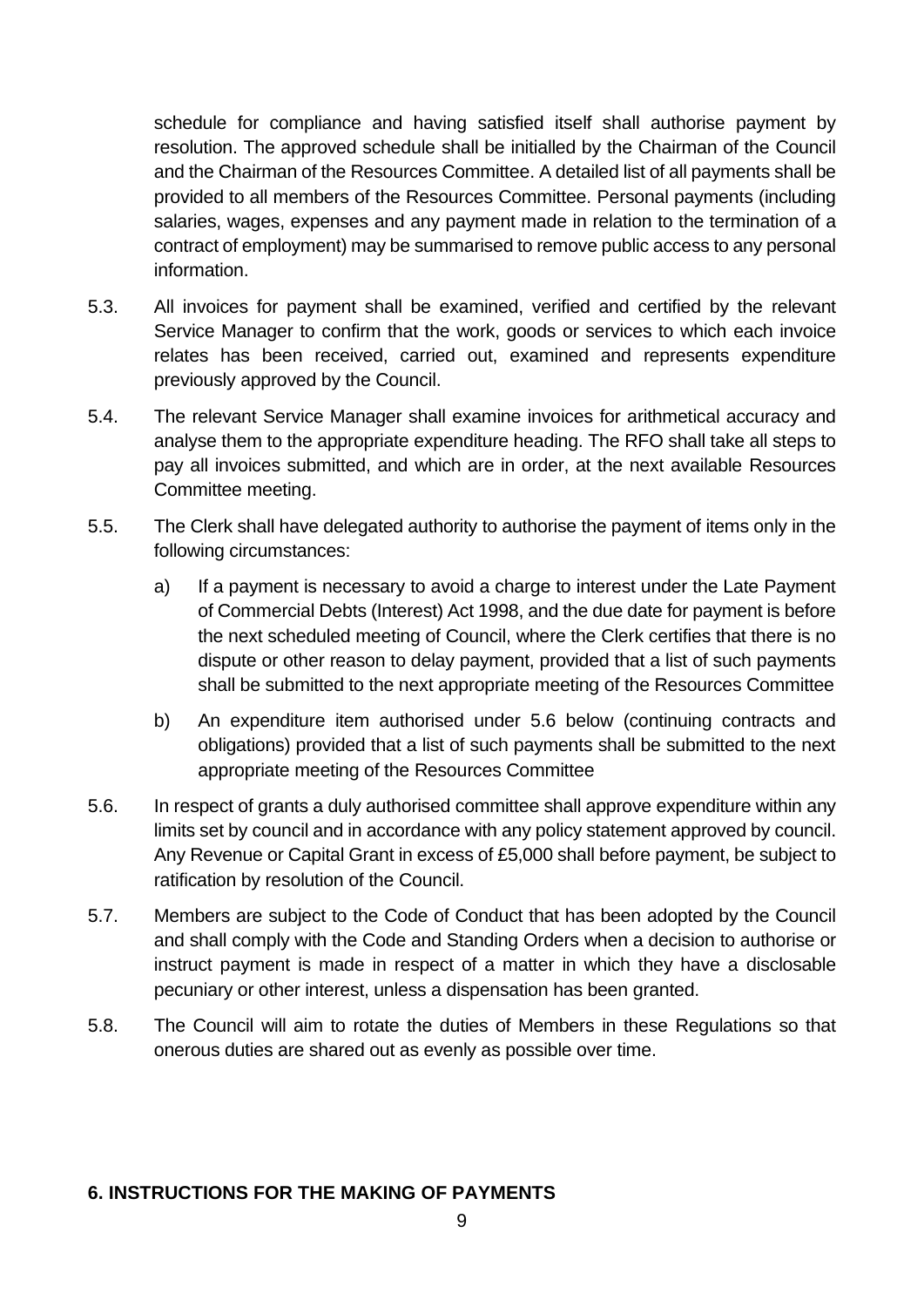schedule for compliance and having satisfied itself shall authorise payment by resolution. The approved schedule shall be initialled by the Chairman of the Council and the Chairman of the Resources Committee. A detailed list of all payments shall be provided to all members of the Resources Committee. Personal payments (including salaries, wages, expenses and any payment made in relation to the termination of a contract of employment) may be summarised to remove public access to any personal information.

- 5.3. All invoices for payment shall be examined, verified and certified by the relevant Service Manager to confirm that the work, goods or services to which each invoice relates has been received, carried out, examined and represents expenditure previously approved by the Council.
- 5.4. The relevant Service Manager shall examine invoices for arithmetical accuracy and analyse them to the appropriate expenditure heading. The RFO shall take all steps to pay all invoices submitted, and which are in order, at the next available Resources Committee meeting.
- 5.5. The Clerk shall have delegated authority to authorise the payment of items only in the following circumstances:
	- a) If a payment is necessary to avoid a charge to interest under the Late Payment of Commercial Debts (Interest) Act 1998, and the due date for payment is before the next scheduled meeting of Council, where the Clerk certifies that there is no dispute or other reason to delay payment, provided that a list of such payments shall be submitted to the next appropriate meeting of the Resources Committee
	- b) An expenditure item authorised under 5.6 below (continuing contracts and obligations) provided that a list of such payments shall be submitted to the next appropriate meeting of the Resources Committee
- 5.6. In respect of grants a duly authorised committee shall approve expenditure within any limits set by council and in accordance with any policy statement approved by council. Any Revenue or Capital Grant in excess of £5,000 shall before payment, be subject to ratification by resolution of the Council.
- 5.7. Members are subject to the Code of Conduct that has been adopted by the Council and shall comply with the Code and Standing Orders when a decision to authorise or instruct payment is made in respect of a matter in which they have a disclosable pecuniary or other interest, unless a dispensation has been granted.
- 5.8. The Council will aim to rotate the duties of Members in these Regulations so that onerous duties are shared out as evenly as possible over time.

#### <span id="page-8-0"></span>**6. INSTRUCTIONS FOR THE MAKING OF PAYMENTS**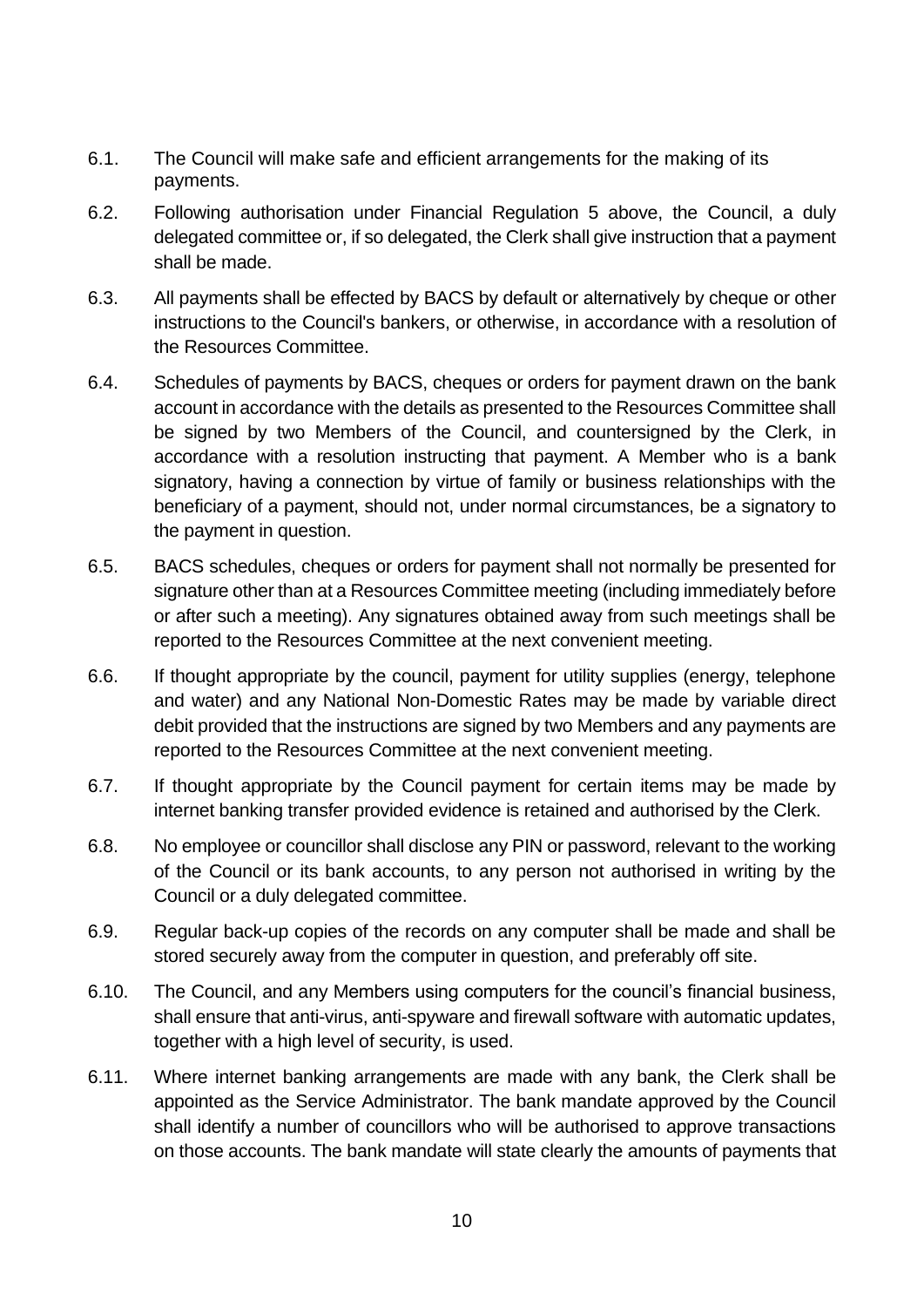- 6.1. The Council will make safe and efficient arrangements for the making of its payments.
- 6.2. Following authorisation under Financial Regulation 5 above, the Council, a duly delegated committee or, if so delegated, the Clerk shall give instruction that a payment shall be made.
- 6.3. All payments shall be effected by BACS by default or alternatively by cheque or other instructions to the Council's bankers, or otherwise, in accordance with a resolution of the Resources Committee.
- 6.4. Schedules of payments by BACS, cheques or orders for payment drawn on the bank account in accordance with the details as presented to the Resources Committee shall be signed by two Members of the Council, and countersigned by the Clerk, in accordance with a resolution instructing that payment. A Member who is a bank signatory, having a connection by virtue of family or business relationships with the beneficiary of a payment, should not, under normal circumstances, be a signatory to the payment in question.
- 6.5. BACS schedules, cheques or orders for payment shall not normally be presented for signature other than at a Resources Committee meeting (including immediately before or after such a meeting). Any signatures obtained away from such meetings shall be reported to the Resources Committee at the next convenient meeting.
- 6.6. If thought appropriate by the council, payment for utility supplies (energy, telephone and water) and any National Non-Domestic Rates may be made by variable direct debit provided that the instructions are signed by two Members and any payments are reported to the Resources Committee at the next convenient meeting.
- 6.7. If thought appropriate by the Council payment for certain items may be made by internet banking transfer provided evidence is retained and authorised by the Clerk.
- 6.8. No employee or councillor shall disclose any PIN or password, relevant to the working of the Council or its bank accounts, to any person not authorised in writing by the Council or a duly delegated committee.
- 6.9. Regular back-up copies of the records on any computer shall be made and shall be stored securely away from the computer in question, and preferably off site.
- 6.10. The Council, and any Members using computers for the council's financial business, shall ensure that anti-virus, anti-spyware and firewall software with automatic updates, together with a high level of security, is used.
- 6.11. Where internet banking arrangements are made with any bank, the Clerk shall be appointed as the Service Administrator. The bank mandate approved by the Council shall identify a number of councillors who will be authorised to approve transactions on those accounts. The bank mandate will state clearly the amounts of payments that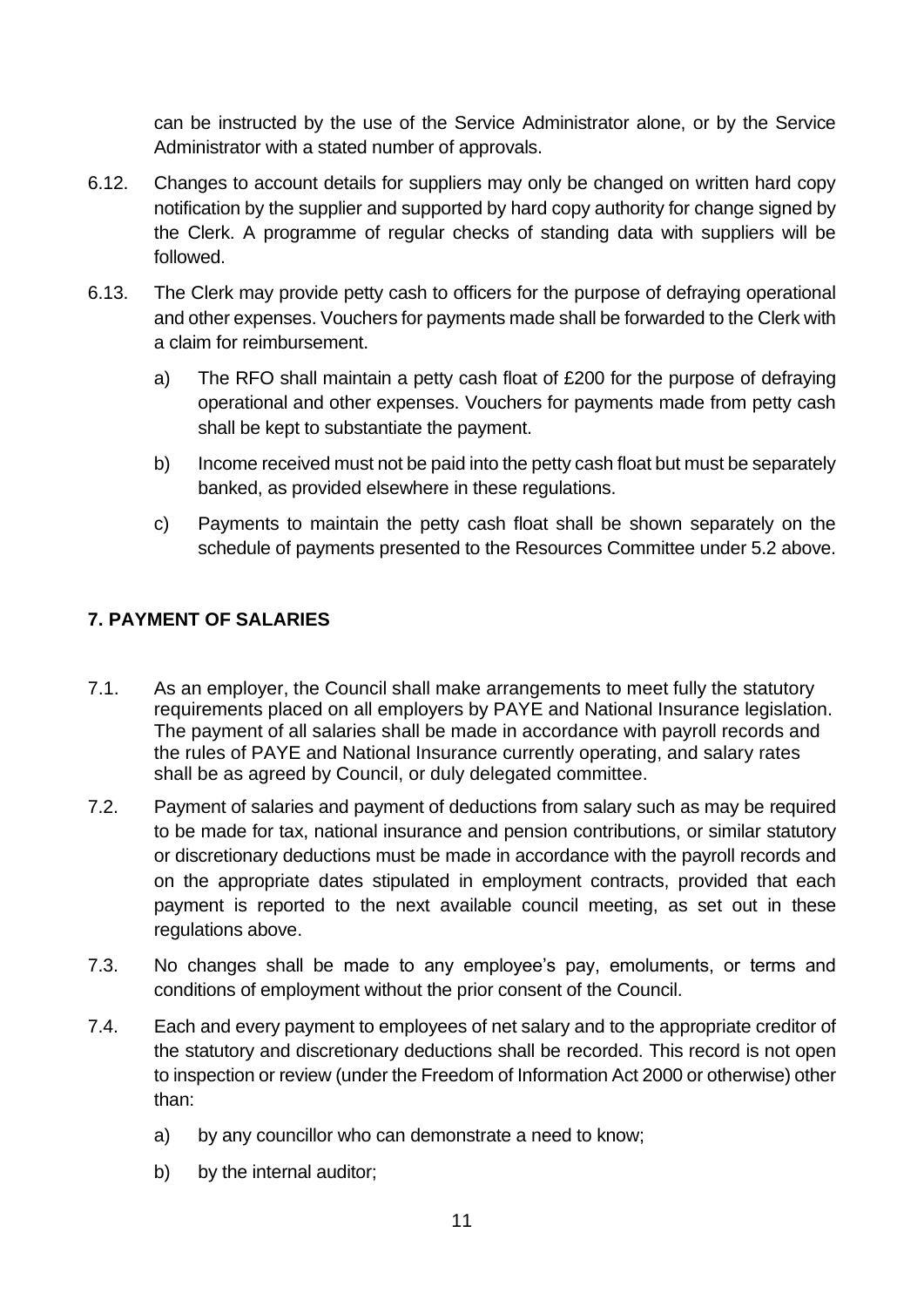can be instructed by the use of the Service Administrator alone, or by the Service Administrator with a stated number of approvals.

- 6.12. Changes to account details for suppliers may only be changed on written hard copy notification by the supplier and supported by hard copy authority for change signed by the Clerk. A programme of regular checks of standing data with suppliers will be followed.
- 6.13. The Clerk may provide petty cash to officers for the purpose of defraying operational and other expenses. Vouchers for payments made shall be forwarded to the Clerk with a claim for reimbursement.
	- a) The RFO shall maintain a petty cash float of £200 for the purpose of defraying operational and other expenses. Vouchers for payments made from petty cash shall be kept to substantiate the payment.
	- b) Income received must not be paid into the petty cash float but must be separately banked, as provided elsewhere in these regulations.
	- c) Payments to maintain the petty cash float shall be shown separately on the schedule of payments presented to the Resources Committee under 5.2 above.

#### <span id="page-10-0"></span>**7. PAYMENT OF SALARIES**

- 7.1. As an employer, the Council shall make arrangements to meet fully the statutory requirements placed on all employers by PAYE and National Insurance legislation. The payment of all salaries shall be made in accordance with payroll records and the rules of PAYE and National Insurance currently operating, and salary rates shall be as agreed by Council, or duly delegated committee.
- 7.2. Payment of salaries and payment of deductions from salary such as may be required to be made for tax, national insurance and pension contributions, or similar statutory or discretionary deductions must be made in accordance with the payroll records and on the appropriate dates stipulated in employment contracts, provided that each payment is reported to the next available council meeting, as set out in these regulations above.
- 7.3. No changes shall be made to any employee's pay, emoluments, or terms and conditions of employment without the prior consent of the Council.
- 7.4. Each and every payment to employees of net salary and to the appropriate creditor of the statutory and discretionary deductions shall be recorded. This record is not open to inspection or review (under the Freedom of Information Act 2000 or otherwise) other than:
	- a) by any councillor who can demonstrate a need to know;
	- b) by the internal auditor;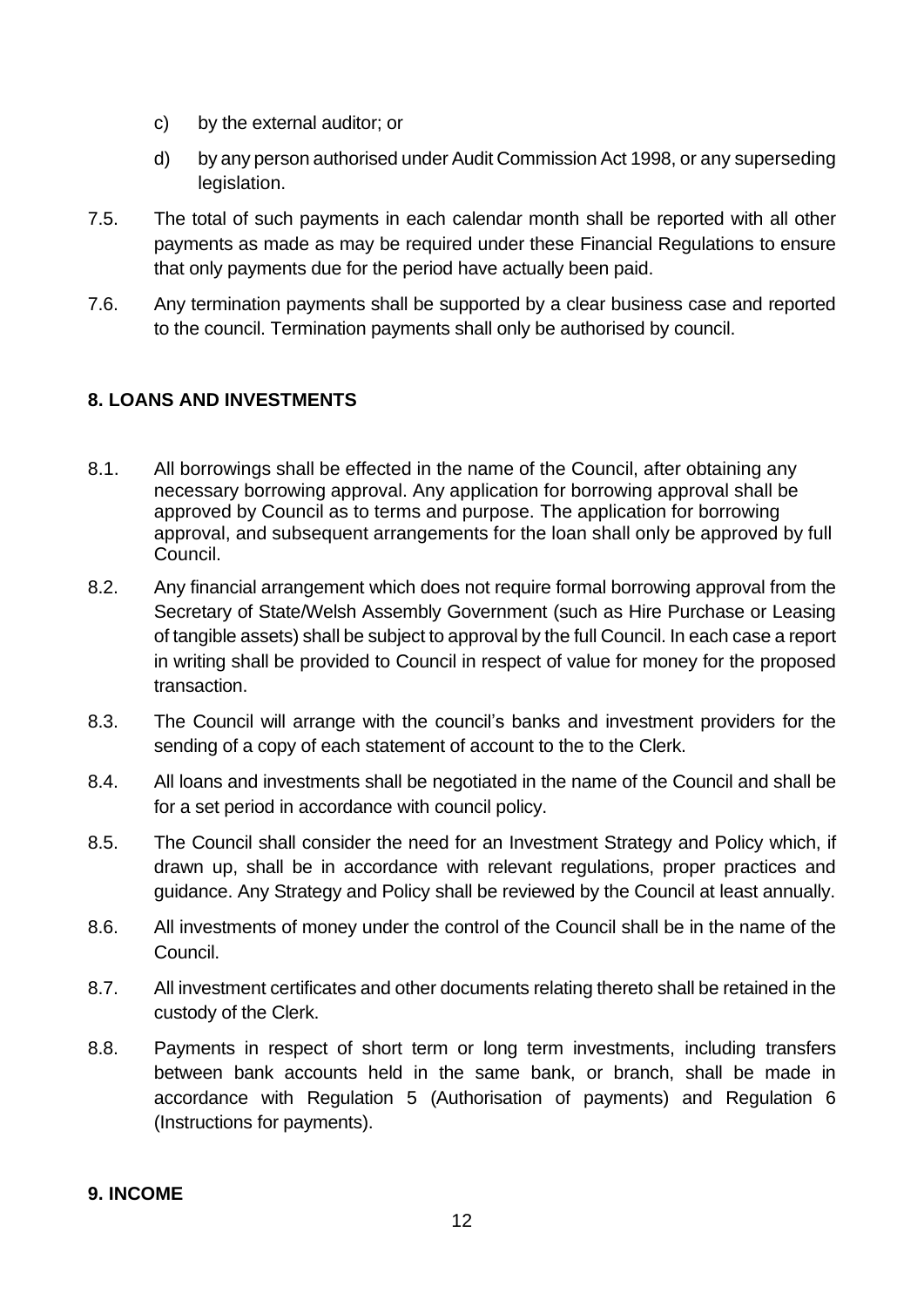- c) by the external auditor; or
- d) by any person authorised under Audit Commission Act 1998, or any superseding legislation.
- 7.5. The total of such payments in each calendar month shall be reported with all other payments as made as may be required under these Financial Regulations to ensure that only payments due for the period have actually been paid.
- 7.6. Any termination payments shall be supported by a clear business case and reported to the council. Termination payments shall only be authorised by council.

#### <span id="page-11-0"></span>**8. LOANS AND INVESTMENTS**

- 8.1. All borrowings shall be effected in the name of the Council, after obtaining any necessary borrowing approval. Any application for borrowing approval shall be approved by Council as to terms and purpose. The application for borrowing approval, and subsequent arrangements for the loan shall only be approved by full Council.
- 8.2. Any financial arrangement which does not require formal borrowing approval from the Secretary of State/Welsh Assembly Government (such as Hire Purchase or Leasing of tangible assets) shall be subject to approval by the full Council. In each case a report in writing shall be provided to Council in respect of value for money for the proposed transaction.
- 8.3. The Council will arrange with the council's banks and investment providers for the sending of a copy of each statement of account to the to the Clerk.
- 8.4. All loans and investments shall be negotiated in the name of the Council and shall be for a set period in accordance with council policy.
- 8.5. The Council shall consider the need for an Investment Strategy and Policy which, if drawn up, shall be in accordance with relevant regulations, proper practices and guidance. Any Strategy and Policy shall be reviewed by the Council at least annually.
- 8.6. All investments of money under the control of the Council shall be in the name of the Council.
- 8.7. All investment certificates and other documents relating thereto shall be retained in the custody of the Clerk.
- 8.8. Payments in respect of short term or long term investments, including transfers between bank accounts held in the same bank, or branch, shall be made in accordance with Regulation 5 (Authorisation of payments) and Regulation 6 (Instructions for payments).

#### <span id="page-11-1"></span>**9. INCOME**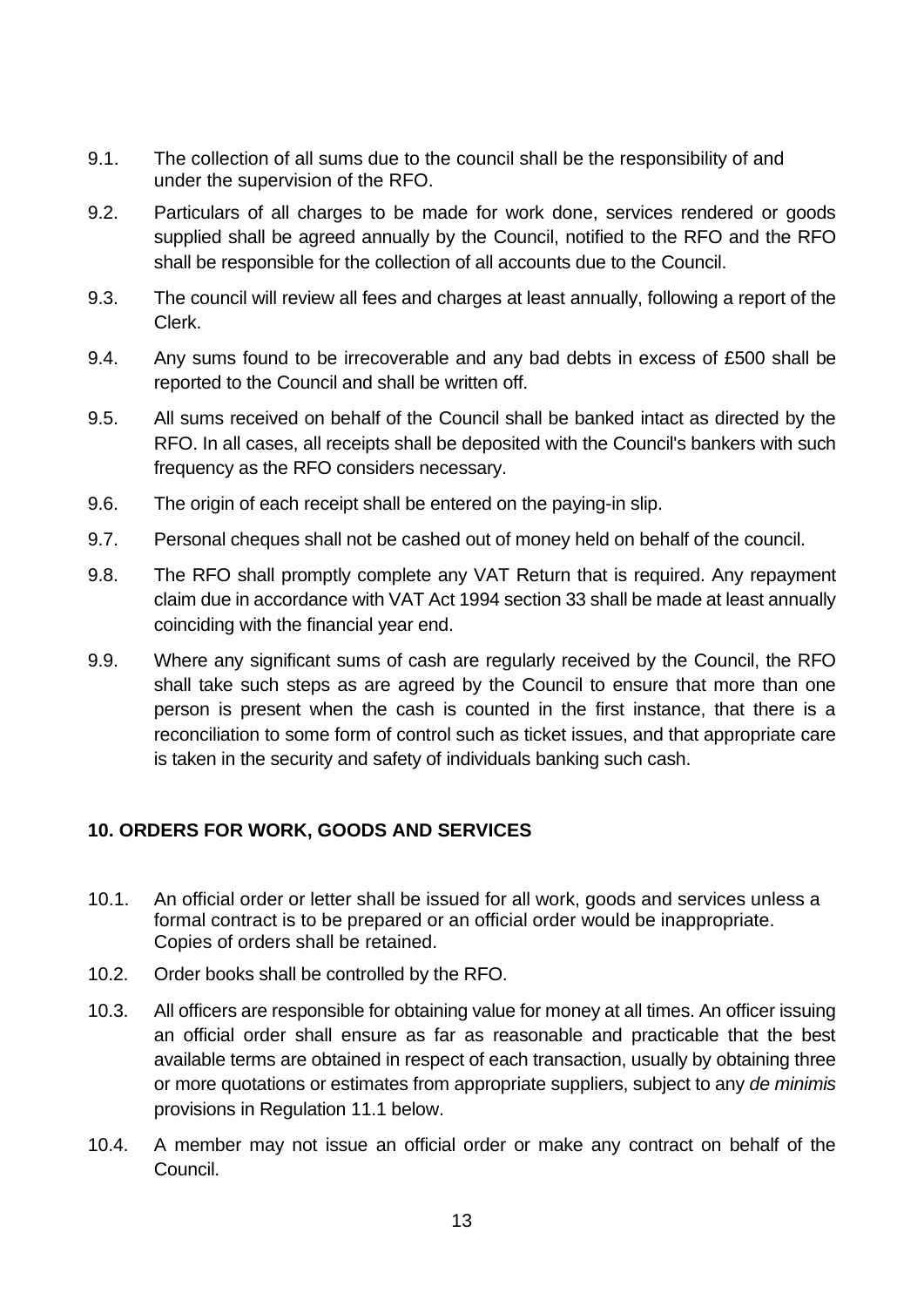- 9.1. The collection of all sums due to the council shall be the responsibility of and under the supervision of the RFO.
- 9.2. Particulars of all charges to be made for work done, services rendered or goods supplied shall be agreed annually by the Council, notified to the RFO and the RFO shall be responsible for the collection of all accounts due to the Council.
- 9.3. The council will review all fees and charges at least annually, following a report of the Clerk.
- 9.4. Any sums found to be irrecoverable and any bad debts in excess of £500 shall be reported to the Council and shall be written off.
- 9.5. All sums received on behalf of the Council shall be banked intact as directed by the RFO. In all cases, all receipts shall be deposited with the Council's bankers with such frequency as the RFO considers necessary.
- 9.6. The origin of each receipt shall be entered on the paying-in slip.
- 9.7. Personal cheques shall not be cashed out of money held on behalf of the council.
- 9.8. The RFO shall promptly complete any VAT Return that is required. Any repayment claim due in accordance with VAT Act 1994 section 33 shall be made at least annually coinciding with the financial year end.
- 9.9. Where any significant sums of cash are regularly received by the Council, the RFO shall take such steps as are agreed by the Council to ensure that more than one person is present when the cash is counted in the first instance, that there is a reconciliation to some form of control such as ticket issues, and that appropriate care is taken in the security and safety of individuals banking such cash.

#### <span id="page-12-0"></span>**10. ORDERS FOR WORK, GOODS AND SERVICES**

- 10.1. An official order or letter shall be issued for all work, goods and services unless a formal contract is to be prepared or an official order would be inappropriate. Copies of orders shall be retained.
- 10.2. Order books shall be controlled by the RFO.
- 10.3. All officers are responsible for obtaining value for money at all times. An officer issuing an official order shall ensure as far as reasonable and practicable that the best available terms are obtained in respect of each transaction, usually by obtaining three or more quotations or estimates from appropriate suppliers, subject to any *de minimis* provisions in Regulation 11.1 below.
- 10.4. A member may not issue an official order or make any contract on behalf of the Council.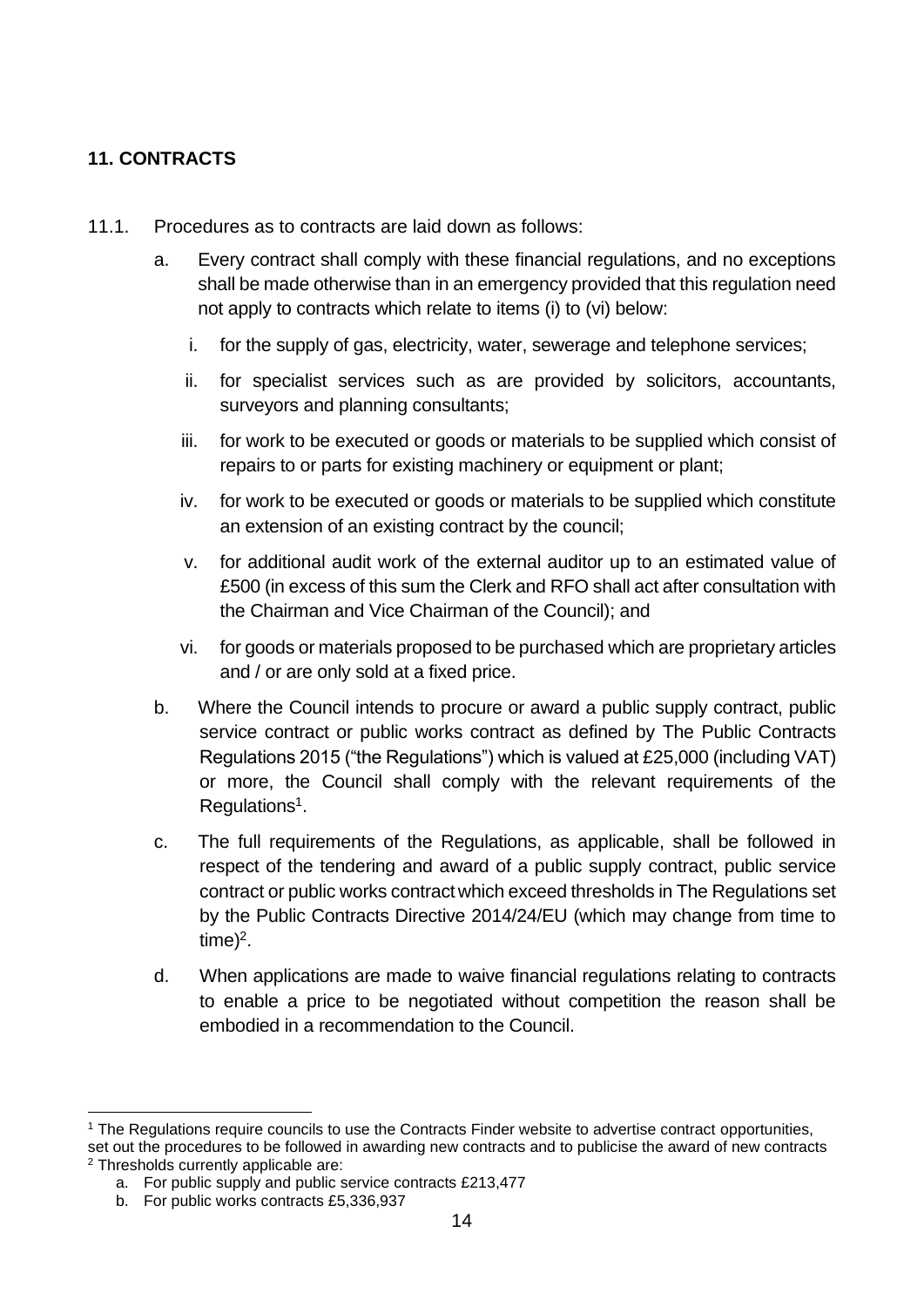#### <span id="page-13-0"></span>**11. CONTRACTS**

- 11.1. Procedures as to contracts are laid down as follows:
	- a. Every contract shall comply with these financial regulations, and no exceptions shall be made otherwise than in an emergency provided that this regulation need not apply to contracts which relate to items (i) to (vi) below:
		- i. for the supply of gas, electricity, water, sewerage and telephone services;
		- ii. for specialist services such as are provided by solicitors, accountants, surveyors and planning consultants;
		- iii. for work to be executed or goods or materials to be supplied which consist of repairs to or parts for existing machinery or equipment or plant;
		- iv. for work to be executed or goods or materials to be supplied which constitute an extension of an existing contract by the council;
		- v. for additional audit work of the external auditor up to an estimated value of £500 (in excess of this sum the Clerk and RFO shall act after consultation with the Chairman and Vice Chairman of the Council); and
		- vi. for goods or materials proposed to be purchased which are proprietary articles and / or are only sold at a fixed price.
	- b. Where the Council intends to procure or award a public supply contract, public service contract or public works contract as defined by The Public Contracts Regulations 2015 ("the Regulations") which is valued at £25,000 (including VAT) or more, the Council shall comply with the relevant requirements of the Regulations<sup>1</sup>.
	- c. The full requirements of the Regulations, as applicable, shall be followed in respect of the tendering and award of a public supply contract, public service contract or public works contractwhich exceed thresholds in The Regulations set by the Public Contracts Directive 2014/24/EU (which may change from time to  $time)^2$ .
	- d. When applications are made to waive financial regulations relating to contracts to enable a price to be negotiated without competition the reason shall be embodied in a recommendation to the Council.

<sup>&</sup>lt;sup>1</sup> The Regulations require councils to use the Contracts Finder website to advertise contract opportunities, set out the procedures to be followed in awarding new contracts and to publicise the award of new contracts <sup>2</sup> Thresholds currently applicable are:

a. For public supply and public service contracts £213,477

b. For public works contracts £5,336,937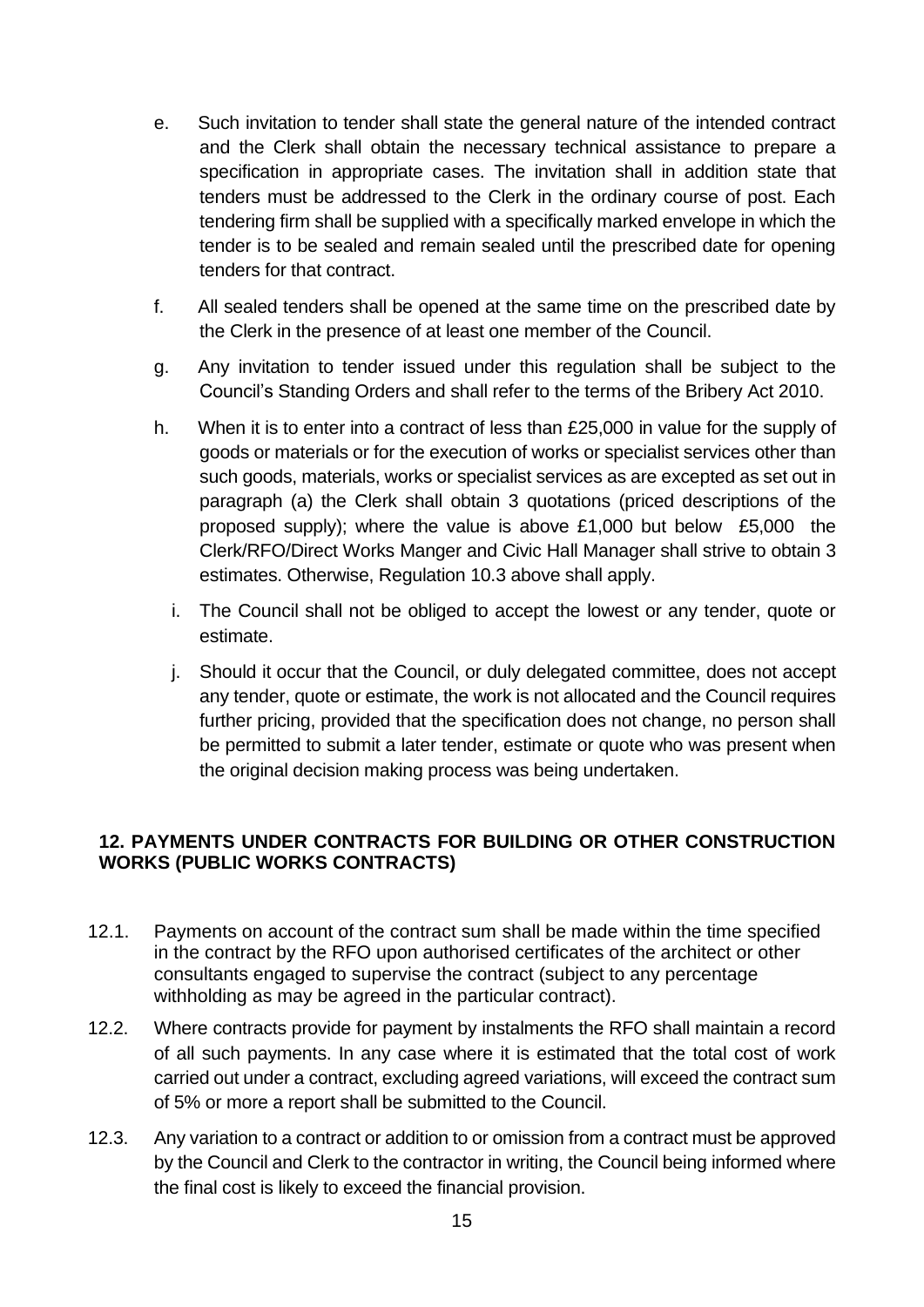- e. Such invitation to tender shall state the general nature of the intended contract and the Clerk shall obtain the necessary technical assistance to prepare a specification in appropriate cases. The invitation shall in addition state that tenders must be addressed to the Clerk in the ordinary course of post. Each tendering firm shall be supplied with a specifically marked envelope in which the tender is to be sealed and remain sealed until the prescribed date for opening tenders for that contract.
- f. All sealed tenders shall be opened at the same time on the prescribed date by the Clerk in the presence of at least one member of the Council.
- g. Any invitation to tender issued under this regulation shall be subject to the Council's Standing Orders and shall refer to the terms of the Bribery Act 2010.
- h. When it is to enter into a contract of less than £25,000 in value for the supply of goods or materials or for the execution of works or specialist services other than such goods, materials, works or specialist services as are excepted as set out in paragraph (a) the Clerk shall obtain 3 quotations (priced descriptions of the proposed supply); where the value is above £1,000 but below £5,000 the Clerk/RFO/Direct Works Manger and Civic Hall Manager shall strive to obtain 3 estimates. Otherwise, Regulation 10.3 above shall apply.
	- i. The Council shall not be obliged to accept the lowest or any tender, quote or estimate.
	- j. Should it occur that the Council, or duly delegated committee, does not accept any tender, quote or estimate, the work is not allocated and the Council requires further pricing, provided that the specification does not change, no person shall be permitted to submit a later tender, estimate or quote who was present when the original decision making process was being undertaken.

#### <span id="page-14-0"></span>**12. PAYMENTS UNDER CONTRACTS FOR BUILDING OR OTHER CONSTRUCTION WORKS (PUBLIC WORKS CONTRACTS)**

- 12.1. Payments on account of the contract sum shall be made within the time specified in the contract by the RFO upon authorised certificates of the architect or other consultants engaged to supervise the contract (subject to any percentage withholding as may be agreed in the particular contract).
- 12.2. Where contracts provide for payment by instalments the RFO shall maintain a record of all such payments. In any case where it is estimated that the total cost of work carried out under a contract, excluding agreed variations, will exceed the contract sum of 5% or more a report shall be submitted to the Council.
- 12.3. Any variation to a contract or addition to or omission from a contract must be approved by the Council and Clerk to the contractor in writing, the Council being informed where the final cost is likely to exceed the financial provision.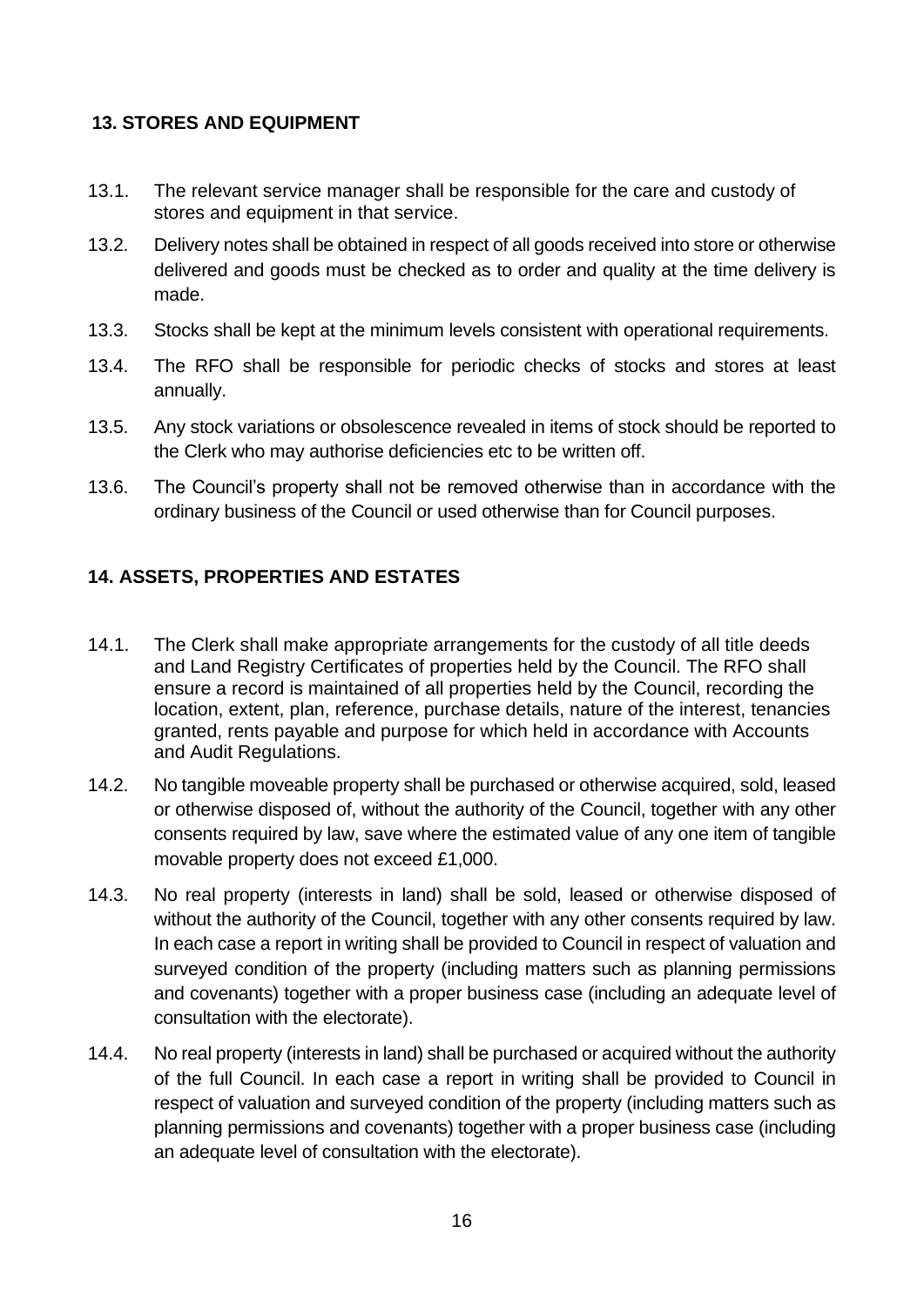#### <span id="page-15-0"></span>**13. STORES AND EQUIPMENT**

- 13.1. The relevant service manager shall be responsible for the care and custody of stores and equipment in that service.
- 13.2. Delivery notes shall be obtained in respect of all goods received into store or otherwise delivered and goods must be checked as to order and quality at the time delivery is made.
- 13.3. Stocks shall be kept at the minimum levels consistent with operational requirements.
- 13.4. The RFO shall be responsible for periodic checks of stocks and stores at least annually.
- 13.5. Any stock variations or obsolescence revealed in items of stock should be reported to the Clerk who may authorise deficiencies etc to be written off.
- 13.6. The Council's property shall not be removed otherwise than in accordance with the ordinary business of the Council or used otherwise than for Council purposes.

#### <span id="page-15-1"></span>**14. ASSETS, PROPERTIES AND ESTATES**

- 14.1. The Clerk shall make appropriate arrangements for the custody of all title deeds and Land Registry Certificates of properties held by the Council. The RFO shall ensure a record is maintained of all properties held by the Council, recording the location, extent, plan, reference, purchase details, nature of the interest, tenancies granted, rents payable and purpose for which held in accordance with Accounts and Audit Regulations.
- 14.2. No tangible moveable property shall be purchased or otherwise acquired, sold, leased or otherwise disposed of, without the authority of the Council, together with any other consents required by law, save where the estimated value of any one item of tangible movable property does not exceed £1,000.
- 14.3. No real property (interests in land) shall be sold, leased or otherwise disposed of without the authority of the Council, together with any other consents required by law. In each case a report in writing shall be provided to Council in respect of valuation and surveyed condition of the property (including matters such as planning permissions and covenants) together with a proper business case (including an adequate level of consultation with the electorate).
- 14.4. No real property (interests in land) shall be purchased or acquired without the authority of the full Council. In each case a report in writing shall be provided to Council in respect of valuation and surveyed condition of the property (including matters such as planning permissions and covenants) together with a proper business case (including an adequate level of consultation with the electorate).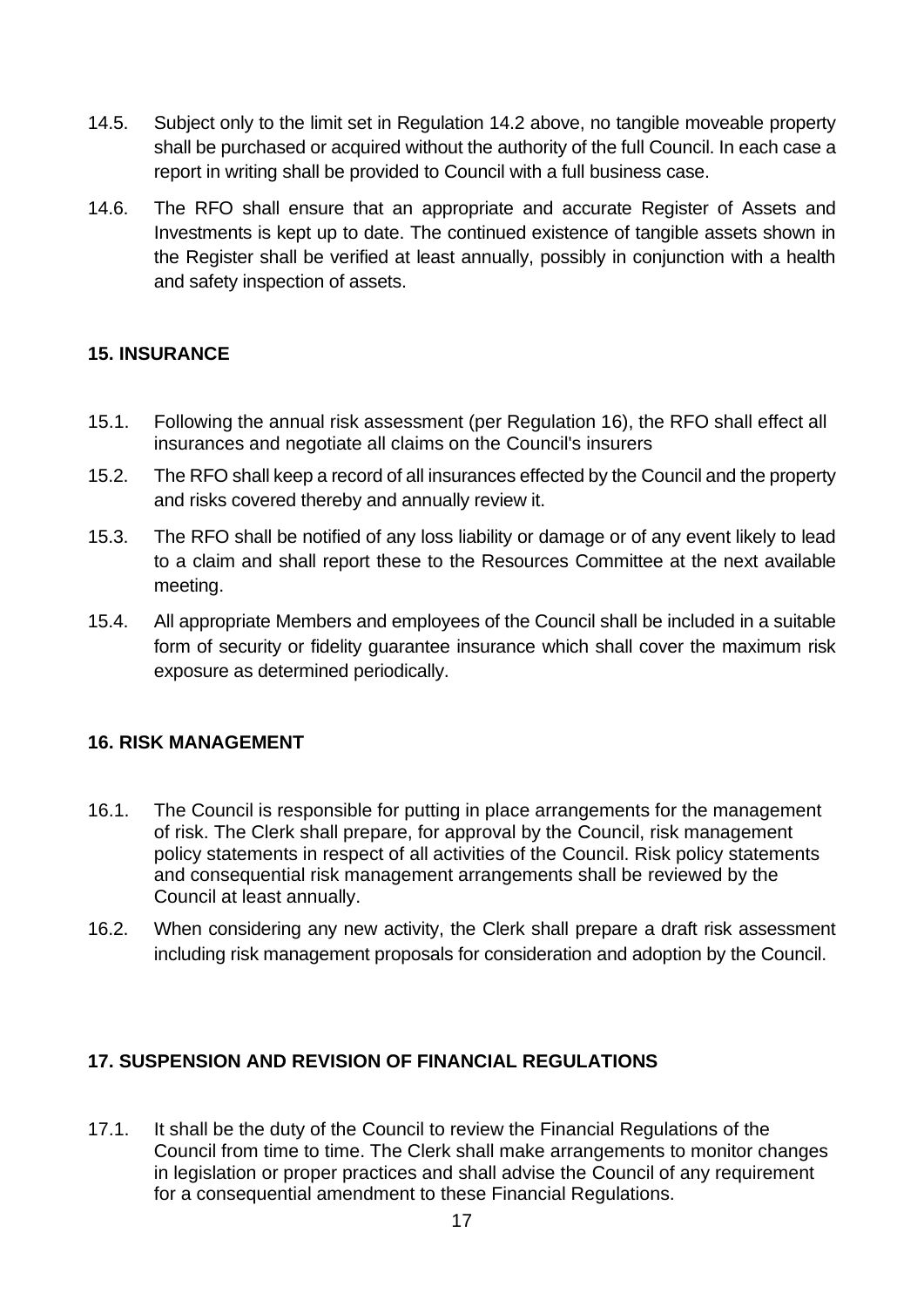- 14.5. Subject only to the limit set in Regulation 14.2 above, no tangible moveable property shall be purchased or acquired without the authority of the full Council. In each case a report in writing shall be provided to Council with a full business case.
- 14.6. The RFO shall ensure that an appropriate and accurate Register of Assets and Investments is kept up to date. The continued existence of tangible assets shown in the Register shall be verified at least annually, possibly in conjunction with a health and safety inspection of assets.

#### <span id="page-16-0"></span>**15. INSURANCE**

- 15.1. Following the annual risk assessment (per Regulation 16), the RFO shall effect all insurances and negotiate all claims on the Council's insurers
- 15.2. The RFO shall keep a record of all insurances effected by the Council and the property and risks covered thereby and annually review it.
- 15.3. The RFO shall be notified of any loss liability or damage or of any event likely to lead to a claim and shall report these to the Resources Committee at the next available meeting.
- 15.4. All appropriate Members and employees of the Council shall be included in a suitable form of security or fidelity guarantee insurance which shall cover the maximum risk exposure as determined periodically.

#### <span id="page-16-1"></span>**16. RISK MANAGEMENT**

- 16.1. The Council is responsible for putting in place arrangements for the management of risk. The Clerk shall prepare, for approval by the Council, risk management policy statements in respect of all activities of the Council. Risk policy statements and consequential risk management arrangements shall be reviewed by the Council at least annually.
- 16.2. When considering any new activity, the Clerk shall prepare a draft risk assessment including risk management proposals for consideration and adoption by the Council.

#### <span id="page-16-2"></span>**17. SUSPENSION AND REVISION OF FINANCIAL REGULATIONS**

17.1. It shall be the duty of the Council to review the Financial Regulations of the Council from time to time. The Clerk shall make arrangements to monitor changes in legislation or proper practices and shall advise the Council of any requirement for a consequential amendment to these Financial Regulations.